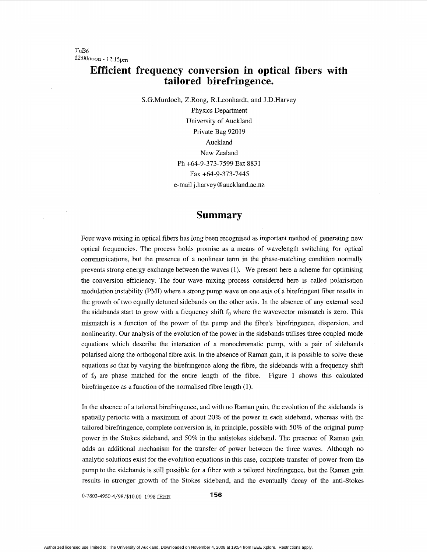## **Efficient frequency conversion in optical fibers with tailored birefringence.**

S.G.Murdoch, Z.Rong, R.Leonhardt, and J.D.Harvey

Physics Department University of Auckland Private Bag 92019 Auckland New Zealand Ph +64-9-373-7599 Ext 883 1 Fax +64-9-373-7445 e-mail j.harvey @auckland.ac.nz

## **Summary**

Four wave mixing in optical fibers has long been recognised as important method of generating new optical frequencies. The process holds promise as a means of wavelength switching for optical communications, but the presence of a nonlinear term in the phase-matching condition normally prevents strong energy exchange between the waves (1). We present here a scheme for optimising the conversion efficiency. The four wave mixing process considered here is called polarisation modulation instability (PMI) where a strong pump wave on one axis of a birefringent fiber results in the growth of two equally detuned sidebands on the other axis. In the absence of any external seed the sidebands start to grow with a frequency shift  $f_0$  where the wavevector mismatch is zero. This mismatch is a function of the power of the pump and the fibre's birefringence, dispersion, and nonlinearity. Our analysis of the evolution of the power in the sidebands utilises three coupled mode equations which describe the interaction of a monochromatic pump, with a pair of sidebands polarised along the orthogonal fibre axis. In the absence of Raman gain, it is possible to solve these equations so that by varying the birefringence along the fibre, the sidebands with **a** frequency shift of  $f_0$  are phase matched for the entire length of the fibre. [Figure 1](#page-1-0) shows this calculated birefringence as a function of the normalised fibre length (1).

In the absence of a tailored birefringence, and with no Raman gain, the evolution of the sidebands is spatially periodic with a maximum of about 20% of the power in each sideband, whereas with the tailored birefringence, complete conversion is, in principle, possible with 50% of the original pump power in the Stokes sideband, and 50% in the antistokes sideband. The presence of Raman gain adds an additional mechanism for the transfer of power between the three waves. Although no analytic solutions exist for the evolution equations in this case, complete transfer of power from the pump to the sidebands is still possible for a fiber with a tailored birefringence, but the Raman gain results in stronger growth of the Stokes sideband, and the eventually decay of the anti-Stokes

0-7803-4950-4/98/%10.00 *1998* IEEE **156**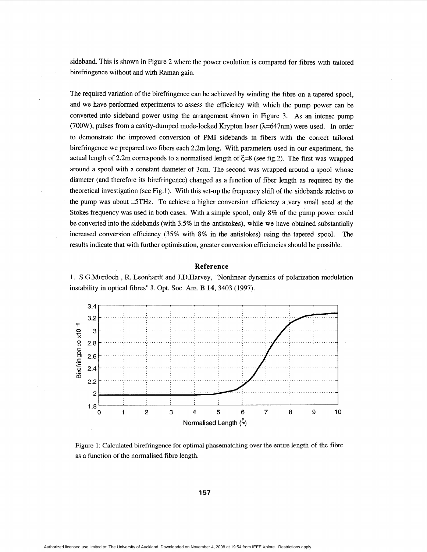<span id="page-1-0"></span>sideband. This is shown in Figure 2 where the power evolution is compared for fibres with talored birefringence without and with Raman gain.

The required variation of the birefringence can be achieved by winding the fibre on a tapered spool, and we have performed experiments to assess the efficiency with which the pump power can be converted into sideband power using the arrangement shown in Figure 3. **As** an intense pump (700W), pulses from a cavity-dumped mode-locked Krypton laser  $(\lambda=647$ nm) were used. In order to demonstrate the improved conversion of **PMI** sidebands in fibers with the correct tailored birefringence we prepared two fibers each 2.2m long. With parameters used in our experiment, the actual length of 2.2m corresponds to a normalised length of **5=8** (see fig.2). The first was wrapped around a spool with a constant diameter of 3cm. The second was wrapped around a spool whose diameter (and therefore its birefringence) changed as **a** function of fiber length as required by the theoretical investigation (see Fig. **1).** With this set-up the frequency shift of the sidebands reletive to the pump was about  $\pm$ 5THz. To achieve a higher conversion efficiency a very small seed at the Stokes frequency was used in both cases. With a simple spool, only **8%** of the pump power could be converted into the sidebands (with 3.5% in the antistokes), while we have obtained substantially increased conversion efficiency (35% with **8%** in the antistokes) using the tapered spool. The results indicate that with further optimisation, greater conversion efficiencies should be possible.

## **Reference**

1. S.G.Murdoch , R. Leonhardt and J.D.Harvey, "Nonlinear dynamics of polarization modulation instability in optical fibres" **J.** Opt. SOC. Am. B **14,** 3403 (1997).



Figure 1: Calculated birefringence for optimal phasematching over the entire length of the fibre as a function of the normalised fibre length.